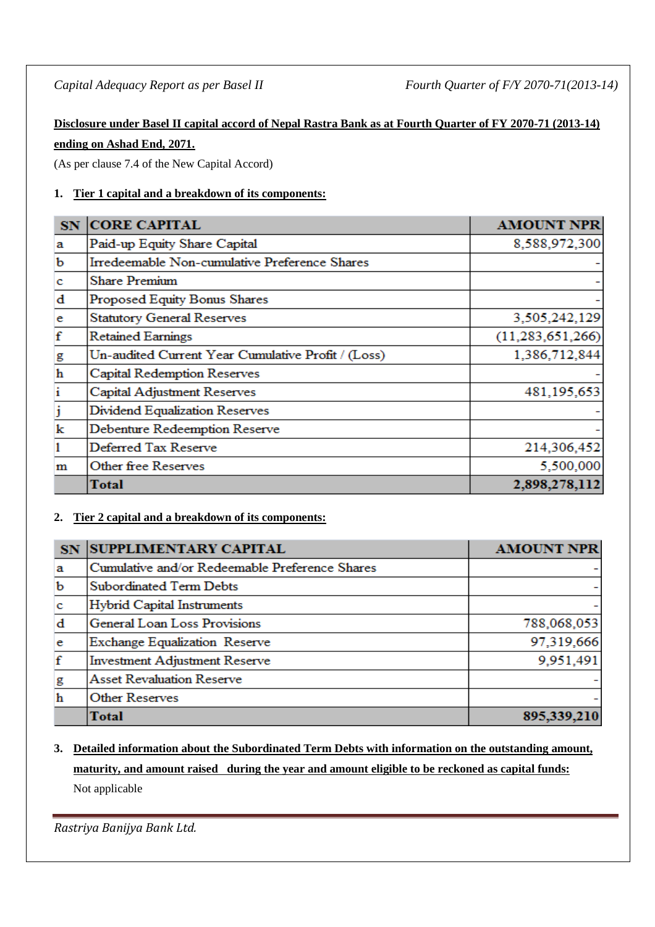# **Disclosure under Basel II capital accord of Nepal Rastra Bank as at Fourth Quarter of FY 2070-71 (2013-14) ending on Ashad End, 2071.**

(As per clause 7.4 of the New Capital Accord)

# **1. Tier 1 capital and a breakdown of its components:**

| <b>SN</b>    | <b>CORE CAPITAL</b>                                | <b>AMOUNT NPR</b>   |
|--------------|----------------------------------------------------|---------------------|
| a            | Paid-up Equity Share Capital                       | 8,588,972,300       |
| b            | Irredeemable Non-cumulative Preference Shares      |                     |
| c            | <b>Share Premium</b>                               |                     |
| $\mathbf d$  | Proposed Equity Bonus Shares                       |                     |
| e            | <b>Statutory General Reserves</b>                  | 3,505,242,129       |
| $\mathbf f$  | <b>Retained Earnings</b>                           | (11, 283, 651, 266) |
| g            | Un-audited Current Year Cumulative Profit / (Loss) | 1,386,712,844       |
| $\mathbf h$  | Capital Redemption Reserves                        |                     |
| $\mathbf{i}$ | Capital Adjustment Reserves                        | 481,195,653         |
| j            | Dividend Equalization Reserves                     |                     |
| k            | Debenture Redeemption Reserve                      |                     |
| 1            | Deferred Tax Reserve                               | 214,306,452         |
| m            | Other free Reserves                                | 5,500,000           |
|              | Total                                              | 2,898,278,112       |

# **2. Tier 2 capital and a breakdown of its components:**

| SN.         | <b>SUPPLIMENTARY CAPITAL</b>                   | <b>AMOUNT NPR</b> |
|-------------|------------------------------------------------|-------------------|
| a           | Cumulative and/or Redeemable Preference Shares |                   |
| $\mathbf b$ | <b>Subordinated Term Debts</b>                 |                   |
| $\mathbf c$ | <b>Hybrid Capital Instruments</b>              |                   |
| $\mathbf d$ | General Loan Loss Provisions                   | 788,068,053       |
| e           | Exchange Equalization Reserve                  | 97,319,666        |
| f           | <b>Investment Adjustment Reserve</b>           | 9,951,491         |
| g           | <b>Asset Revaluation Reserve</b>               |                   |
| $\mathbf h$ | <b>Other Reserves</b>                          |                   |
|             | Total                                          | 895,339,210       |

# **3. Detailed information about the Subordinated Term Debts with information on the outstanding amount, maturity, and amount raised during the year and amount eligible to be reckoned as capital funds:** Not applicable

*Rastriya Banijya Bank Ltd.*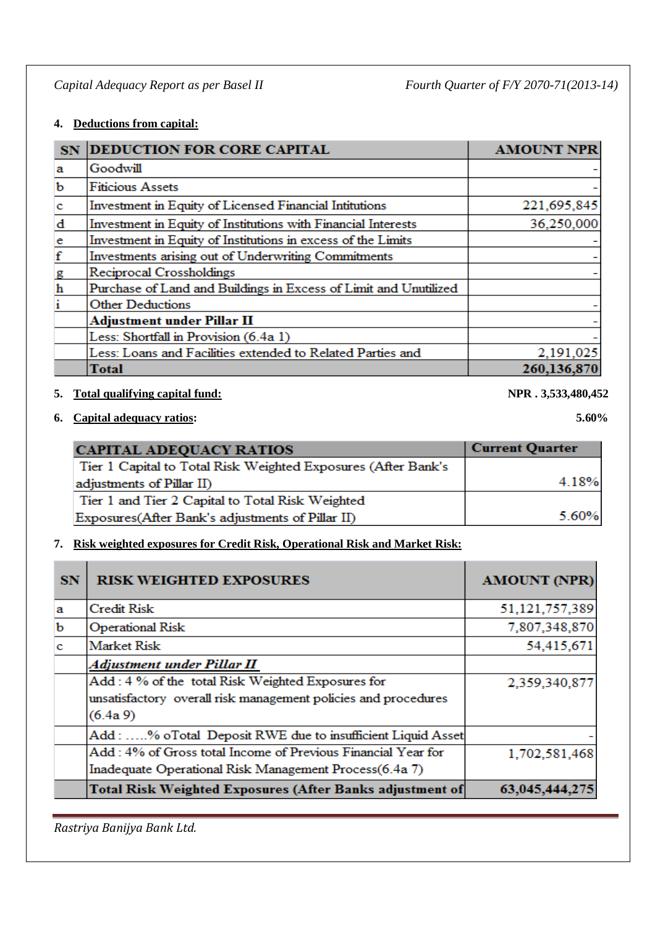# **4. Deductions from capital:**

| SN            | <b>DEDUCTION FOR CORE CAPITAL</b>                                | <b>AMOUNT NPR</b> |
|---------------|------------------------------------------------------------------|-------------------|
| a             | Goodwill                                                         |                   |
| $\mathbf b$   | <b>Fiticious Assets</b>                                          |                   |
| $\mathbf{c}$  | Investment in Equity of Licensed Financial Intitutions           | 221,695,845       |
| d             | Investment in Equity of Institutions with Financial Interests    | 36,250,000        |
| $\mathbf{e}$  | Investment in Equity of Institutions in excess of the Limits     |                   |
| $\mathbf f$   | Investments arising out of Underwriting Commitments              |                   |
|               | Reciprocal Crossholdings                                         |                   |
| $\frac{g}{h}$ | Purchase of Land and Buildings in Excess of Limit and Unutilized |                   |
| i             | <b>Other Deductions</b>                                          |                   |
|               | <b>Adjustment under Pillar II</b>                                |                   |
|               | Less: Shortfall in Provision (6.4a 1)                            |                   |
|               | Less: Loans and Facilities extended to Related Parties and       | 2,191,025         |
|               | Total                                                            | 260,136,870       |

## **5. Total qualifying capital fund: NPR . 3,533,480,452**

# **6. Capital adequacy ratios: 5.60%**

| <b>CAPITAL ADEQUACY RATIOS</b>                                | <b>Current Quarter</b> |
|---------------------------------------------------------------|------------------------|
| Tier 1 Capital to Total Risk Weighted Exposures (After Bank's |                        |
| adjustments of Pillar II)                                     | 4.18%                  |
| Tier 1 and Tier 2 Capital to Total Risk Weighted              |                        |
| Exposures (After Bank's adjustments of Pillar II)             | 5.60%                  |

# **7. Risk weighted exposures for Credit Risk, Operational Risk and Market Risk:**

| <b>SN</b>    | <b>RISK WEIGHTED EXPOSURES</b>                                  | <b>AMOUNT (NPR)</b> |
|--------------|-----------------------------------------------------------------|---------------------|
| a            | <b>Credit Risk</b>                                              | 51,121,757,389      |
| b            | <b>Operational Risk</b>                                         | 7,807,348,870       |
| $\mathbf{c}$ | <b>Market Risk</b>                                              | 54,415,671          |
|              | Adjustment under Pillar II                                      |                     |
|              | Add: 4 % of the total Risk Weighted Exposures for               | 2,359,340,877       |
|              | unsatisfactory overall risk management policies and procedures  |                     |
|              | $(6.4a\,9)$                                                     |                     |
|              | Add: % oTotal Deposit RWE due to insufficient Liquid Asset      |                     |
|              | Add: 4% of Gross total Income of Previous Financial Year for    | 1,702,581,468       |
|              | Inadequate Operational Risk Management Process(6.4a 7)          |                     |
|              | <b>Total Risk Weighted Exposures (After Banks adjustment of</b> | 63,045,444,27       |

*Rastriya Banijya Bank Ltd.*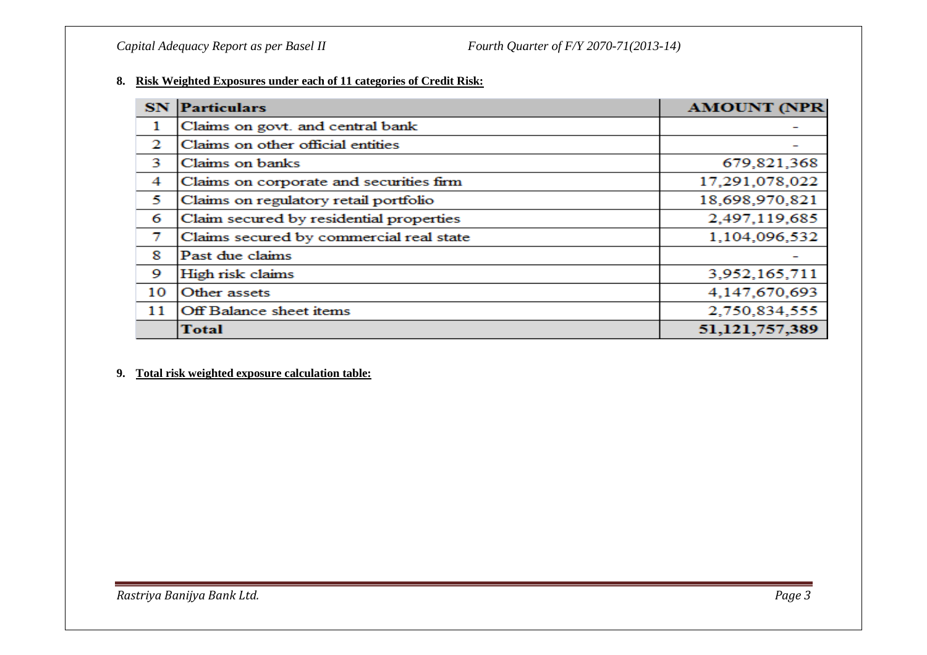#### **8. Risk Weighted Exposures under each of 11 categories of Credit Risk:**

| <b>SN</b> | <b>Particulars</b>                      | <b>AMOUNT (NPR</b> |
|-----------|-----------------------------------------|--------------------|
| 1         | Claims on govt. and central bank        |                    |
| 2         | Claims on other official entities       |                    |
| 3         | Claims on banks                         | 679,821,368        |
| 4         | Claims on corporate and securities firm | 17,291,078,022     |
| 5         | Claims on regulatory retail portfolio   | 18,698,970,821     |
| 6         | Claim secured by residential properties | 2,497,119,685      |
| 7         | Claims secured by commercial real state | 1,104,096,532      |
| 8         | Past due claims                         |                    |
| 9         | High risk claims                        | 3,952,165,711      |
| 10        | Other assets                            | 4,147,670,693      |
| 11        | Off Balance sheet items                 | 2,750,834,555      |
|           | <b>Total</b>                            | 51,121,757,389     |

#### **9. Total risk weighted exposure calculation table:**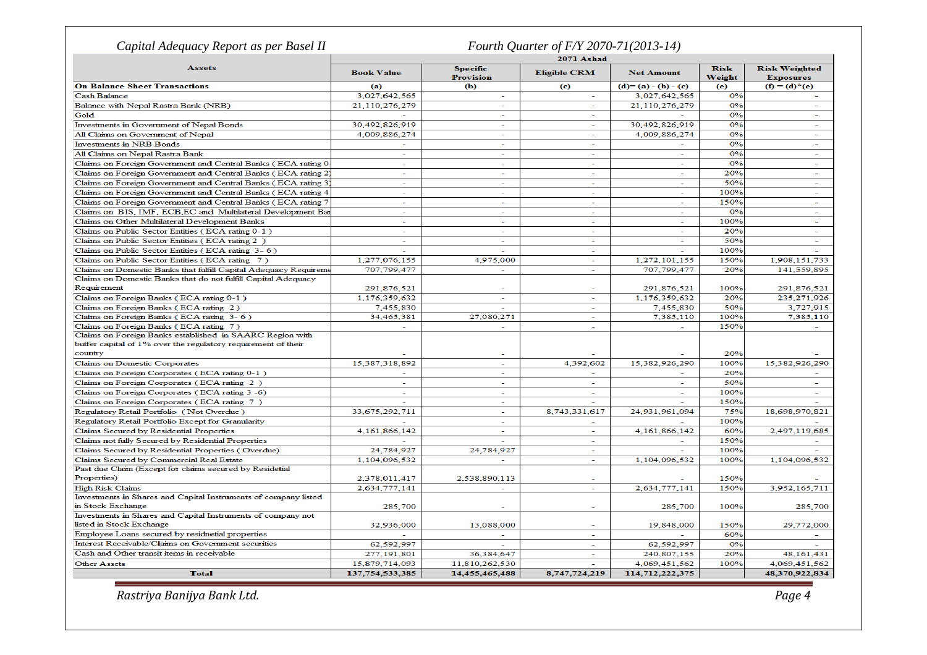| Capital Adequacy Report as per Basel II                          |                          |                                     | Fourth Quarter of F/Y 2070-71(2013-14) |                   |                       |                                          |
|------------------------------------------------------------------|--------------------------|-------------------------------------|----------------------------------------|-------------------|-----------------------|------------------------------------------|
|                                                                  | <b>2071 Ashad</b>        |                                     |                                        |                   |                       |                                          |
| <b>Assets</b>                                                    | <b>Book Value</b>        | <b>Specific</b><br><b>Provision</b> | <b>Eligible CRM</b>                    | <b>Net Amount</b> | <b>Risk</b><br>Weight | <b>Risk Weighted</b><br><b>Exposures</b> |
| <b>On Balance Sheet Transactions</b>                             | (a)                      | (Ъ)                                 | (c)                                    | $(d)=(a)-(b)-(c)$ | (e)                   | $(f) = (d)^*(e)$                         |
| <b>Cash Balance</b>                                              | 3,027,642,565            | ÷                                   | ۰                                      | 3,027,642,565     | 0%                    |                                          |
| Balance with Nepal Rastra Bank (NRB)                             | 21.110.276.279           | L.                                  | ÷.                                     | 21.110.276.279    | 0%                    |                                          |
| Gold                                                             |                          | $\sim$                              | $\sim$                                 |                   | 0%                    | $\sim$                                   |
| Investments in Government of Nepal Bonds                         | 30,492,826,919           | $\sim$                              | $\sim$                                 | 30,492,826,919    | 0%                    |                                          |
| All Claims on Government of Nepal                                | 4,009,886,274            | ÷.                                  | ÷,                                     | 4,009,886,274     | 0%                    |                                          |
| <b>Investments in NRB Bonds</b>                                  | $\sim$                   | $\sim$                              | $\overline{\phantom{a}}$               |                   | 0%                    | $\sim$                                   |
| All Claims on Nepal Rastra Bank                                  | $\sim$                   | $\sim$                              | $\overline{\phantom{0}}$               |                   | 0%                    |                                          |
| Claims on Foreign Government and Central Banks (ECA rating 0     | $\sim$                   | ÷.                                  | L,                                     |                   | 0%                    |                                          |
| Claims on Foreign Government and Central Banks (ECA rating 2)    | $\sim$                   | $\sim$                              | ÷.                                     | $\sim$            | 20%                   | $\sim$                                   |
| Claims on Foreign Government and Central Banks (ECA rating 3)    | $\overline{\phantom{a}}$ | $\equiv$                            | $\sim$                                 |                   | 50%                   |                                          |
| Claims on Foreign Government and Central Banks (ECA rating 4     | $\sim$                   | $\sim$                              | Ξ                                      |                   | 100%                  |                                          |
| Claims on Foreign Government and Central Banks (ECA rating 7     | $\sim$                   | $\equiv$                            | $\sim$                                 | $\sim$            | 150%                  | $\sim$                                   |
| Claims on BIS, IMF, ECB, EC and Multilateral Development Bar     | $\sim$                   | $\overline{\phantom{0}}$            | $\overline{\phantom{a}}$               |                   | 0%                    |                                          |
| Claims on Other Multilateral Development Banks                   | $\sim$                   | ÷.                                  | ÷.                                     |                   | 100%                  |                                          |
|                                                                  | $\overline{a}$           | $\sim$                              | $\overline{\phantom{a}}$               |                   | 20%                   |                                          |
| Claims on Public Sector Entities (ECA rating 0-1)                |                          |                                     |                                        |                   |                       |                                          |
| Claims on Public Sector Entities (ECA rating 2)                  | $\sim$                   | $\sim$                              | $\sim$                                 |                   | 50%                   |                                          |
| Claims on Public Sector Entities (ECA rating 3-6)                |                          |                                     | ÷.                                     |                   | 100%                  |                                          |
| Claims on Public Sector Entities (ECA rating 7)                  | 1,277,076,155            | 4,975,000                           | $\sim$                                 | 1,272,101,155     | 150%                  | 1,908,151,733                            |
| Claims on Domestic Banks that fulfill Capital Adequacy Requireme | 707,799,477              | ÷.                                  | $\overline{\phantom{a}}$               | 707,799,477       | 20%                   | 141,559,895                              |
| Claims on Domestic Banks that do not fulfill Capital Adequacy    |                          |                                     |                                        |                   |                       |                                          |
| Requirement                                                      | 291,876,521              | ÷                                   | ۰                                      | 291,876,521       | 100%                  | 291,876,521                              |
| Claims on Foreign Banks (ECA rating 0-1)                         | 1,176,359,632            | $\overline{\phantom{a}}$            | ÷,                                     | 1,176,359,632     | 20%                   | 235, 271, 926                            |
| Claims on Foreign Banks (ECA rating 2)                           | 7,455,830                | $\sim$                              | $\overline{a}$                         | 7,455,830         | 50%                   | 3,727,915                                |
| Claims on Foreign Banks (ECA rating 3-6)                         | 34,465,381               | 27,080,271                          | $\sim$                                 | 7,385,110         | 100%                  | 7,385,110                                |
| Claims on Foreign Banks (ECA rating 7)                           |                          | $\sim$                              | ÷.                                     |                   | 150%                  |                                          |
| Claims on Foreign Banks established in SAARC Region with         |                          |                                     |                                        |                   |                       |                                          |
| buffer capital of 1% over the regulatory requirement of their    |                          |                                     |                                        |                   |                       |                                          |
| country                                                          |                          | $\overline{\phantom{a}}$            |                                        |                   | 20%                   |                                          |
| Claims on Domestic Corporates                                    | 15,387,318,892           | ÷.                                  | 4,392,602                              | 15,382,926,290    | 100%                  | 15,382,926,290                           |
| Claims on Foreign Corporates (ECA rating 0-1)                    | $\sim$                   | $\sim$                              | ÷.                                     |                   | 20%                   |                                          |
| Claims on Foreign Corporates (ECA rating 2)                      | $\sim$                   | ÷                                   | ÷.                                     |                   | 50%                   |                                          |
| Claims on Foreign Corporates (ECA rating 3 -6)                   | $\sim$                   | ÷.                                  | ÷,                                     |                   | 100%                  |                                          |
| Claims on Foreign Corporates (ECA rating 7)                      |                          | ÷                                   | $\overline{a}$                         |                   | 150%                  |                                          |
| Regulatory Retail Portfolio (Not Overdue)                        | 33,675,292,711           | $\sim$                              | 8,743,331,617                          | 24,931,961,094    | 75%                   | 18,698,970,821                           |
| Regulatory Retail Portfolio Except for Granularity               |                          | ÷                                   |                                        |                   | 100%                  |                                          |
| Claims Secured by Residential Properties                         | 4,161,866,142            | ÷                                   | $\sim$                                 | 4,161,866,142     | 60%                   | 2,497,119,685                            |
| Claims not fully Secured by Residential Properties               |                          |                                     | $\overline{\phantom{a}}$               | $\sim$            | 150%                  |                                          |
| Claims Secured by Residential Properties (Overdue)               | 24,784,927               | 24,784,927                          | $\overline{a}$                         |                   | 100%                  |                                          |
| Claims Secured by Commercial Real Estate                         | 1,104,096,532            |                                     | $\overline{\phantom{a}}$               | 1,104,096,532     | 100%                  | 1,104,096,532                            |
| Past due Claim (Except for claims secured by Residetial          |                          |                                     |                                        |                   |                       |                                          |
| Properties)                                                      | 2,378,011,417            | 2,538,890,113                       |                                        |                   | 150%                  |                                          |
| <b>High Risk Claims</b>                                          | 2,634,777,141            | $\sim$                              | Ξ                                      | 2,634,777,141     | 150%                  | 3,952,165,711                            |
| Investments in Shares and Capital Instruments of company listed  |                          |                                     |                                        |                   |                       |                                          |
| in Stock Exchange                                                | 285,700                  | $\sim$                              | ÷.                                     | 285,700           | 100%                  | 285,700                                  |
| Investments in Shares and Capital Instruments of company not     |                          |                                     |                                        |                   |                       |                                          |
| listed in Stock Exchange                                         | 32,936,000               | 13,088,000                          | L,                                     | 19,848,000        | 150%                  | 29,772,000                               |
| Employee Loans secured by residnetial properties                 |                          | $\sim$                              | $\sim$                                 |                   | 60%                   | $\overline{\phantom{0}}$                 |
| Interest Receivable/Claims on Government securities              | 62,592,997               |                                     | $\sim$                                 | 62,592,997        | 0%                    |                                          |
| Cash and Other transit items in receivable                       | 277,191,801              | 36,384,647                          | $\overline{\phantom{a}}$               | 240,807,155       | 20%                   | 48, 161, 431                             |
| <b>Other Assets</b>                                              | 15.879.714.093           | 11.810.262.530                      |                                        | 4.069.451.562     | 100%                  | 4,069,451,562                            |
| <b>Total</b>                                                     | 137,754,533,385          | 14,455,465,488                      | 8,747,724,219                          | 114,712,222,375   |                       | 48,370,922,834                           |
|                                                                  |                          |                                     |                                        |                   |                       |                                          |

*Rastriya Banijya Bank Ltd. Page 4*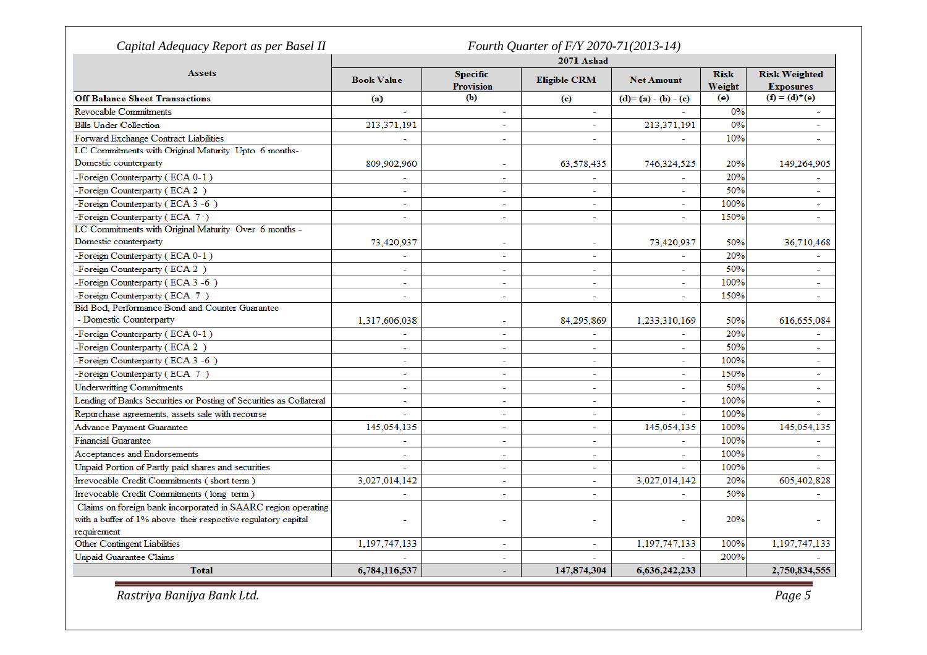| Capital Adequacy Report as per Basel II                            |                          |                                     | 2071 Ashad               | Fourth Quarter of F/Y 2070-71(2013-14) |                       |                                          |  |  |
|--------------------------------------------------------------------|--------------------------|-------------------------------------|--------------------------|----------------------------------------|-----------------------|------------------------------------------|--|--|
| <b>Assets</b>                                                      | <b>Book Value</b>        | <b>Specific</b><br><b>Provision</b> | <b>Eligible CRM</b>      | <b>Net Amount</b>                      | <b>Risk</b><br>Weight | <b>Risk Weighted</b><br><b>Exposures</b> |  |  |
| <b>Off Balance Sheet Transactions</b>                              | (a)                      | (b)                                 | (c)                      | $(d)=(a)-(b)-(c)$                      | (e)                   | $(f) = (d)^*(e)$                         |  |  |
| <b>Revocable Commitments</b>                                       |                          | $\sim$                              | ٠                        |                                        | 0%                    | $\sim$                                   |  |  |
| <b>Bills Under Collection</b>                                      | 213,371,191              | $\overline{a}$                      | $\overline{\phantom{0}}$ | 213,371,191                            | 0%                    | $\sim$                                   |  |  |
| Forward Exchange Contract Liabilities                              | $\mathbf{r}$             | $\sim$                              | ÷                        |                                        | 10%                   | $\overline{\phantom{a}}$                 |  |  |
| LC Commitments with Original Maturity Upto 6 months-               |                          |                                     |                          |                                        |                       |                                          |  |  |
| Domestic counterparty                                              | 809,902,960              |                                     | 63,578,435               | 746,324,525                            | 20%                   | 149,264,905                              |  |  |
| -Foreign Counterparty (ECA 0-1)                                    | $\overline{\phantom{a}}$ | $\sim$                              | $\sim$                   | $\sim$                                 | 20%                   |                                          |  |  |
| -Foreign Counterparty (ECA 2)                                      | $\sim$                   | ÷,                                  | ÷.                       |                                        | 50%                   |                                          |  |  |
| -Foreign Counterparty (ECA 3 -6)                                   | $\sim$                   | $\overline{\phantom{a}}$            | $\overline{\phantom{a}}$ | $\sim$                                 | 100%                  | ÷                                        |  |  |
| -Foreign Counterparty (ECA 7)                                      |                          | ÷                                   | $\overline{\phantom{a}}$ |                                        | 150%                  |                                          |  |  |
| LC Commitments with Original Maturity Over 6 months -              |                          |                                     |                          |                                        |                       |                                          |  |  |
| Domestic counterparty                                              | 73,420,937               | $\sim$                              | $\sim$                   | 73,420,937                             | 50%                   | 36,710,468                               |  |  |
| -Foreign Counterparty (ECA 0-1)                                    |                          | $\overline{a}$                      | $\overline{\phantom{a}}$ |                                        | 20%                   |                                          |  |  |
| -Foreign Counterparty (ECA 2)                                      | $\overline{\phantom{0}}$ | $\sim$                              | $\equiv$                 | $\sim$                                 | 50%                   | $\sim$                                   |  |  |
| -Foreign Counterparty (ECA 3-6)                                    | $\overline{\phantom{a}}$ | ÷,                                  | $\overline{\phantom{a}}$ |                                        | 100%                  | $\equiv$                                 |  |  |
| -Foreign Counterparty (ECA 7)                                      |                          | ÷.                                  | $\sim$                   |                                        | 150%                  |                                          |  |  |
| Bid Bod, Performance Bond and Counter Guarantee                    |                          |                                     |                          |                                        |                       |                                          |  |  |
| - Domestic Counterparty                                            | 1,317,606,038            | $\overline{\phantom{a}}$            | 84,295,869               | 1,233,310,169                          | 50%                   | 616,655,084                              |  |  |
| -Foreign Counterparty (ECA 0-1)                                    |                          | ÷,                                  |                          |                                        | 20%                   |                                          |  |  |
| -Foreign Counterparty (ECA 2)                                      | $\sim$                   | $\overline{a}$                      | $\overline{a}$           | $\equiv$                               | 50%                   | $\blacksquare$                           |  |  |
| -Foreign Counterparty (ECA 3-6)                                    | $\overline{a}$           | $\overline{a}$                      | $\overline{\phantom{a}}$ | $\overline{a}$                         | 100%                  | $\overline{a}$                           |  |  |
| -Foreign Counterparty (ECA 7)                                      |                          | ÷,                                  | ÷,                       | $\overline{a}$                         | 150%                  | $\overline{a}$                           |  |  |
| <b>Underwritting Commitments</b>                                   |                          | $\sim$                              | $\overline{\phantom{a}}$ |                                        | 50%                   |                                          |  |  |
| Lending of Banks Securities or Posting of Securities as Collateral | $\sim$                   | $\sim$                              | $\overline{\phantom{a}}$ | $\sim$                                 | 100%                  | $\sim$                                   |  |  |
| Repurchase agreements, assets sale with recourse                   |                          | $\overline{\phantom{a}}$            | $\overline{\phantom{a}}$ |                                        | 100%                  |                                          |  |  |
| <b>Advance Payment Guarantee</b>                                   | 145,054,135              | $\sim$                              | ÷                        | 145,054,135                            | 100%                  | 145,054,135                              |  |  |
| <b>Financial Guarantee</b>                                         |                          | $\sim$                              | $\overline{\phantom{a}}$ |                                        | 100%                  |                                          |  |  |
| Acceptances and Endorsements                                       | $\overline{\phantom{a}}$ | $\sim$                              | $\sim$                   | $\sim$                                 | 100%                  | $\sim$                                   |  |  |
| Unpaid Portion of Partly paid shares and securities                |                          | $\overline{\phantom{0}}$            | $\equiv$                 |                                        | 100%                  |                                          |  |  |
| Irrevocable Credit Commitments (short term)                        | 3,027,014,142            | $\sim$                              | $\overline{\phantom{a}}$ | 3,027,014,142                          | 20%                   | 605,402,828                              |  |  |
| Irrevocable Credit Commitments (long term)                         |                          | ÷.                                  | $\overline{\phantom{a}}$ |                                        | 50%                   |                                          |  |  |
| Claims on foreign bank incorporated in SAARC region operating      |                          |                                     |                          |                                        |                       |                                          |  |  |
| with a buffer of 1% above their respective regulatory capital      |                          |                                     |                          |                                        | 20%                   |                                          |  |  |
| requirement                                                        |                          |                                     |                          |                                        |                       |                                          |  |  |
| Other Contingent Liabilities                                       | 1,197,747,133            | ÷,                                  | $\overline{\phantom{a}}$ | 1,197,747,133                          | 100%                  | 1,197,747,133                            |  |  |
| <b>Unpaid Guarantee Claims</b>                                     |                          | L,                                  |                          |                                        | 200%                  |                                          |  |  |
| <b>Total</b>                                                       | 6,784,116,537            | ÷.                                  | 147,874,304              | 6,636,242,233                          |                       | 2,750,834,555                            |  |  |
| Rastriya Banijya Bank Ltd.                                         |                          |                                     |                          |                                        |                       |                                          |  |  |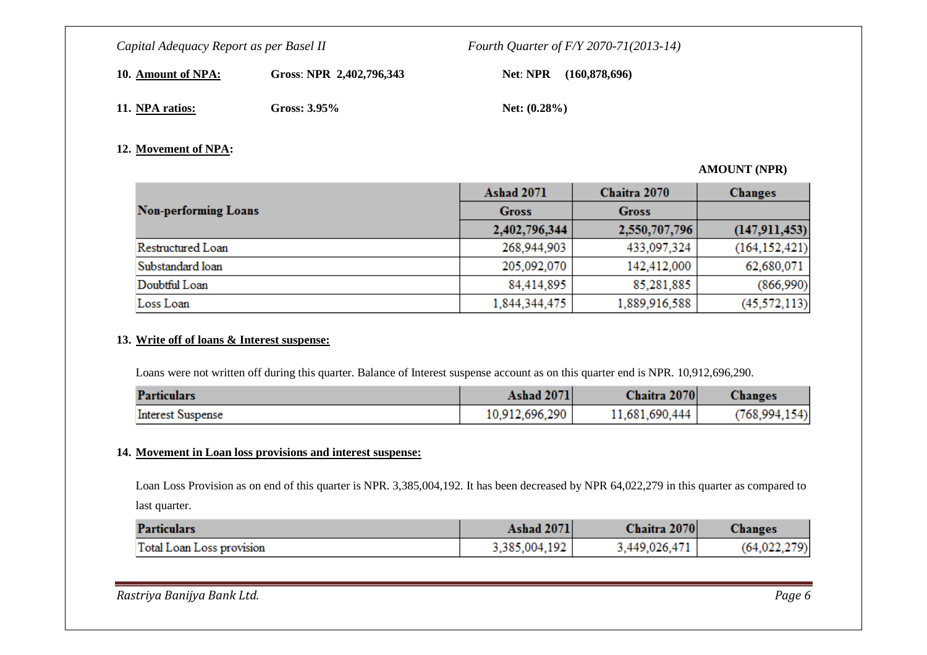**10. Amount of NPA:**

Gross: **NPR 2,402,796,343 Net**: **NPR** (160,878,696)

**11. NPA ratios:**

Gross: 3.95% **Net:** (0.28%)

### **12. Movement of NPA:**

### **AMOUNT (NPR)**

|                             | <b>Ashad 2071</b> | Chaitra 2070  | <b>Changes</b>  |
|-----------------------------|-------------------|---------------|-----------------|
| <b>Non-performing Loans</b> | <b>Gross</b>      | <b>Gross</b>  |                 |
|                             | 2,402,796,344     | 2,550,707,796 | (147, 911, 453) |
| Restructured Loan           | 268,944,903       | 433,097,324   | (164, 152, 421) |
| Substandard loan            | 205,092,070       | 142,412,000   | 62,680,071      |
| Doubtful Loan               | 84,414,895        | 85,281,885    | (866,990)       |
| Loss Loan                   | 1,844,344,475     | 1,889,916,588 | (45, 572, 113)  |

#### **13. Write off of loans & Interest suspense:**

Loans were not written off during this quarter. Balance of Interest suspense account as on this quarter end is NPR. 10,912,696,290.

| <b>Particulars</b>       | <b>Ashad 2071</b> | Chaitra 2070   | <b>Changes</b>  |
|--------------------------|-------------------|----------------|-----------------|
| <b>Interest Suspense</b> | 10,912,696,290    | 11.681.690.444 | (768, 994, 154) |

#### **14. Movement in Loan loss provisions and interest suspense:**

Loan Loss Provision as on end of this quarter is NPR. 3,385,004,192. It has been decreased by NPR 64,022,279 in this quarter as compared to last quarter.

| <b>Particulars</b>        | <b>Ashad 2071</b> | Chaitra 2070  | <b>Changes</b> |
|---------------------------|-------------------|---------------|----------------|
| Total Loan Loss provision | 3,385,004,192     | 3,449,026,471 | (64,022,279)   |

| Rastriya Banijya Bank Ltd. | Page 6 |
|----------------------------|--------|
|                            |        |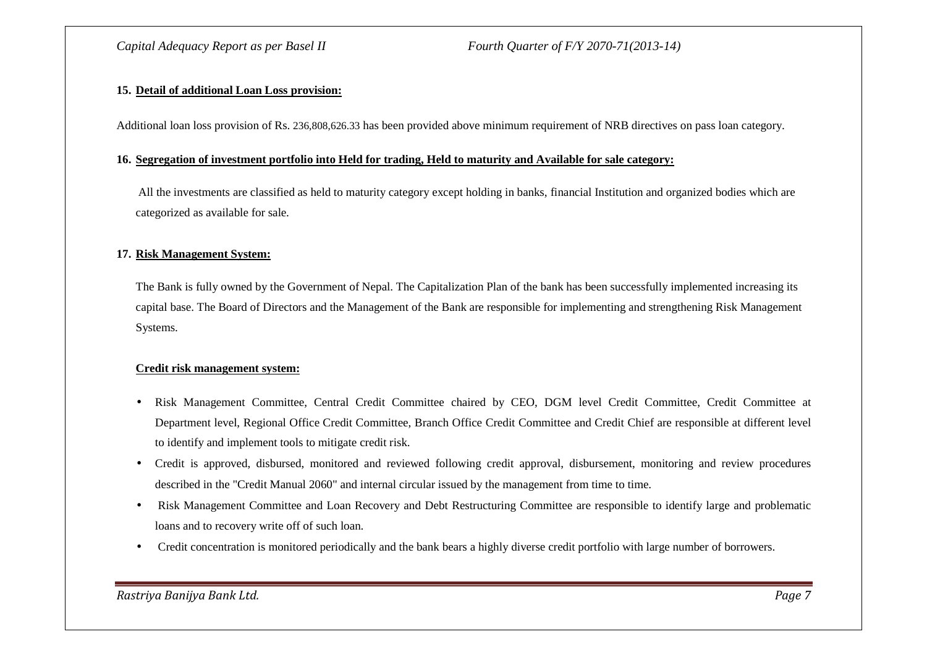#### **15. Detail of additional Loan Loss provision:**

Additional loan loss provision of Rs. 236,808,626.33 has been provided above minimum requirement of NRB directives on pass loan category.

#### **16. Segregation of investment portfolio into Held for trading, Held to maturity and Available for sale category:**

All the investments are classified as held to maturity category except holding in banks, financial Institution and organized bodies which are categorized as available for sale.

#### **17. Risk Management System:**

The Bank is fully owned by the Government of Nepal. The Capitalization Plan of the bank has been successfully implemented increasing its capital base. The Board of Directors and the Management of the Bank are responsible for implementing and strengthening Risk Management Systems.

#### **Credit risk management system:**

- • Risk Management Committee, Central Credit Committee chaired by CEO, DGM level Credit Committee, Credit Committee at Department level, Regional Office Credit Committee, Branch Office Credit Committee and Credit Chief are responsible at different level to identify and implement tools to mitigate credit risk.
- $\bullet$  Credit is approved, disbursed, monitored and reviewed following credit approval, disbursement, monitoring and review procedures described in the "Credit Manual 2060" and internal circular issued by the management from time to time.
- Risk Management Committee and Loan Recovery and Debt Restructuring Committee are responsible to identify large and problematic loans and to recovery write off of such loan.
- Credit concentration is monitored periodically and the bank bears a highly diverse credit portfolio with large number of borrowers.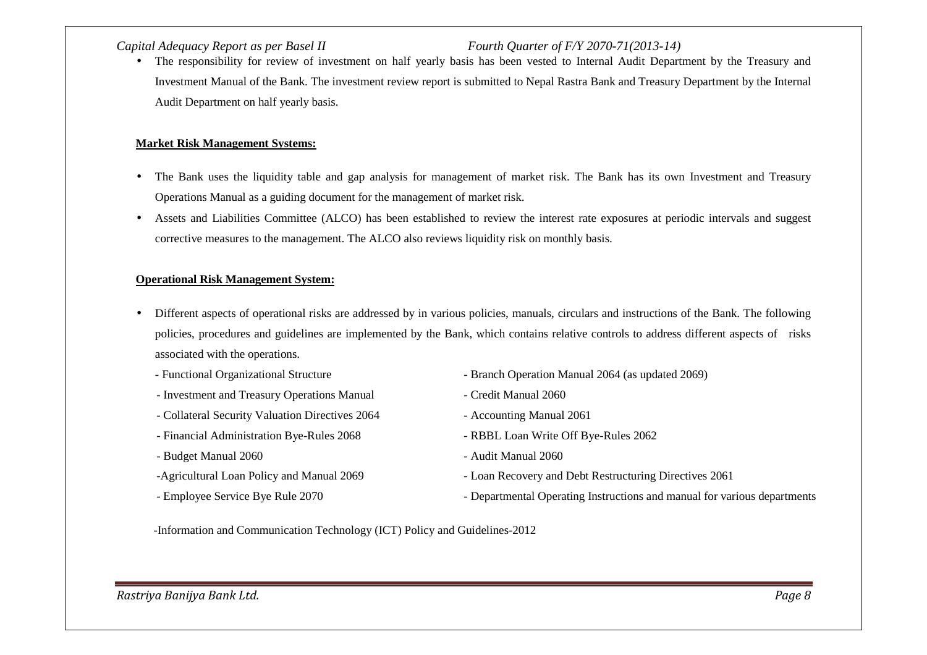The responsibility for review of investment on half yearly basis has been vested to Internal Audit Department by the Treasury and •Investment Manual of the Bank. The investment review report is submitted to Nepal Rastra Bank and Treasury Department by the Internal Audit Department on half yearly basis.

#### **Market Risk Management Systems:**

- • The Bank uses the liquidity table and gap analysis for management of market risk. The Bank has its own Investment and Treasury Operations Manual as a guiding document for the management of market risk.
- $\bullet$  Assets and Liabilities Committee (ALCO) has been established to review the interest rate exposures at periodic intervals and suggest corrective measures to the management. The ALCO also reviews liquidity risk on monthly basis.

#### **Operational Risk Management System:**

- $\bullet$  Different aspects of operational risks are addressed by in various policies, manuals, circulars and instructions of the Bank. The following policies, procedures and guidelines are implemented by the Bank, which contains relative controls to address different aspects of risks associated with the operations.
	-
	- Investment and Treasury Operations Manual Credit Manual 2060
	- Collateral Security Valuation Directives 2064 Accounting Manual 2061
	- Financial Administration Bye-Rules 2068 RBBL Loan Write Off Bye-Rules 2062
	- Budget Manual 2060 Audit Manual 2060
	-
	-
- Functional Organizational Structure Branch Operation Manual 2064 (as updated 2069)
	-
	-
	-
	-
- -Agricultural Loan Policy and Manual 2069 Loan Recovery and Debt Restructuring Directives 2061
- Employee Service Bye Rule 2070 Departmental Operating Instructions and manual for various departments

-Information and Communication Technology (ICT) Policy and Guidelines-2012